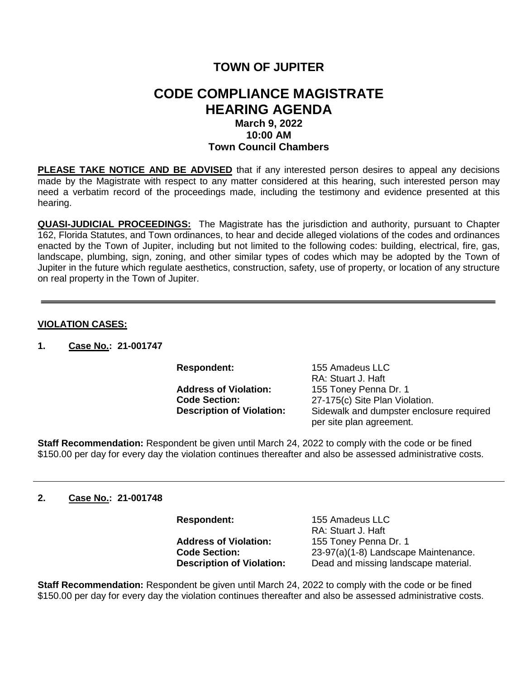# **TOWN OF JUPITER**

## **CODE COMPLIANCE MAGISTRATE HEARING AGENDA March 9, 2022 10:00 AM Town Council Chambers**

**PLEASE TAKE NOTICE AND BE ADVISED** that if any interested person desires to appeal any decisions made by the Magistrate with respect to any matter considered at this hearing, such interested person may need a verbatim record of the proceedings made, including the testimony and evidence presented at this hearing.

**QUASI-JUDICIAL PROCEEDINGS:** The Magistrate has the jurisdiction and authority, pursuant to Chapter 162, Florida Statutes, and Town ordinances, to hear and decide alleged violations of the codes and ordinances enacted by the Town of Jupiter, including but not limited to the following codes: building, electrical, fire, gas, landscape, plumbing, sign, zoning, and other similar types of codes which may be adopted by the Town of Jupiter in the future which regulate aesthetics, construction, safety, use of property, or location of any structure on real property in the Town of Jupiter.

#### **VIOLATION CASES:**

**1. Case No.: 21-001747**

**Respondent:** 155 Amadeus LLC RA: Stuart J. Haft **Address of Violation:** 155 Toney Penna Dr. 1<br>**Code Section:** 27-175(c) Site Plan Viol **Code Section:** 27-175(c) Site Plan Violation.<br>**Description of Violation:** Sidewalk and dumpster enclo **Sidewalk and dumpster enclosure required** per site plan agreement.

**Staff Recommendation:** Respondent be given until March 24, 2022 to comply with the code or be fined \$150.00 per day for every day the violation continues thereafter and also be assessed administrative costs.

#### **2. Case No.: 21-001748**

Address of Violation: 155 Toney Penna Dr. 1<br>**Code Section:** 23-97(a)(1-8) Landscap

**Respondent:** 155 Amadeus LLC RA: Stuart J. Haft **Code Section:** 23-97(a)(1-8) Landscape Maintenance. **Description of Violation:** Dead and missing landscape material.

**Staff Recommendation:** Respondent be given until March 24, 2022 to comply with the code or be fined \$150.00 per day for every day the violation continues thereafter and also be assessed administrative costs.